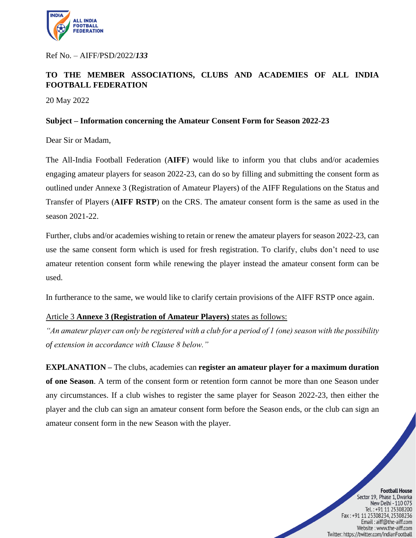

Ref No. – AIFF/PSD/2022/*133*

# **TO THE MEMBER ASSOCIATIONS, CLUBS AND ACADEMIES OF ALL INDIA FOOTBALL FEDERATION**

20 May 2022

### **Subject – Information concerning the Amateur Consent Form for Season 2022-23**

Dear Sir or Madam,

The All-India Football Federation (**AIFF**) would like to inform you that clubs and/or academies engaging amateur players for season 2022-23, can do so by filling and submitting the consent form as outlined under Annexe 3 (Registration of Amateur Players) of the AIFF Regulations on the Status and Transfer of Players (**AIFF RSTP**) on the CRS. The amateur consent form is the same as used in the season 2021-22.

Further, clubs and/or academies wishing to retain or renew the amateur players for season 2022-23, can use the same consent form which is used for fresh registration. To clarify, clubs don't need to use amateur retention consent form while renewing the player instead the amateur consent form can be used.

In furtherance to the same, we would like to clarify certain provisions of the AIFF RSTP once again.

### Article 3 **Annexe 3 (Registration of Amateur Players)** states as follows:

*"An amateur player can only be registered with a club for a period of 1 (one) season with the possibility of extension in accordance with Clause 8 below."*

**EXPLANATION –** The clubs, academies can **register an amateur player for a maximum duration of one Season**. A term of the consent form or retention form cannot be more than one Season under any circumstances. If a club wishes to register the same player for Season 2022-23, then either the player and the club can sign an amateur consent form before the Season ends, or the club can sign an amateur consent form in the new Season with the player.

#### **Football House**

Sector 19, Phase 1, Dwarka New Delhi - 110 075 Tel.: +91 11 25308200 Fax: +91 11 25308234, 25308236 Email: aiff@the-aiff.com Website: www.the-aiff.com Twitter: https://twitter.com/IndianFootball